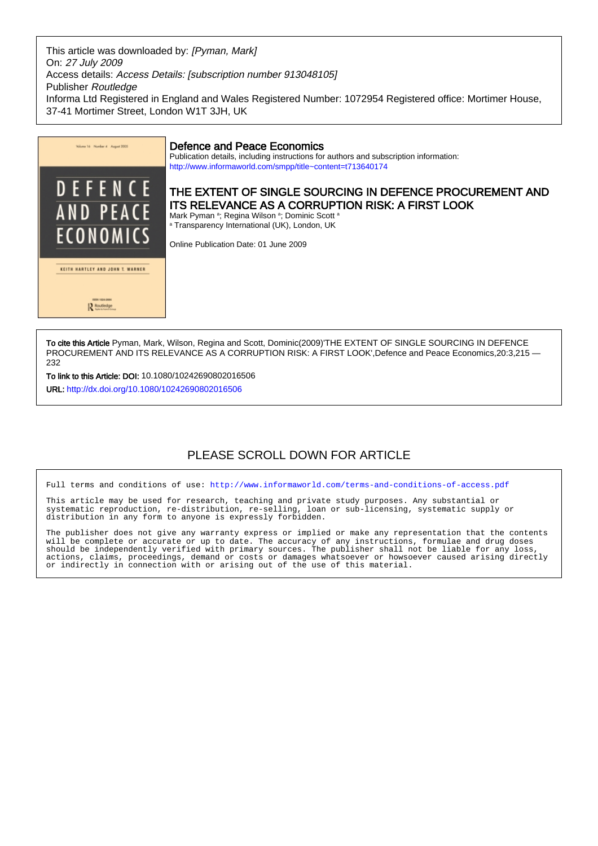This article was downloaded by: [Pyman, Mark] On: 27 July 2009 Access details: Access Details: [subscription number 913048105] Publisher Routledge Informa Ltd Registered in England and Wales Registered Number: 1072954 Registered office: Mortimer House, 37-41 Mortimer Street, London W1T 3JH, UK



To cite this Article Pyman, Mark, Wilson, Regina and Scott, Dominic(2009)'THE EXTENT OF SINGLE SOURCING IN DEFENCE PROCUREMENT AND ITS RELEVANCE AS A CORRUPTION RISK: A FIRST LOOK', Defence and Peace Economics, 20:3,215 — 232

To link to this Article: DOI: 10.1080/10242690802016506

URL: <http://dx.doi.org/10.1080/10242690802016506>

# PLEASE SCROLL DOWN FOR ARTICLE

Full terms and conditions of use:<http://www.informaworld.com/terms-and-conditions-of-access.pdf>

This article may be used for research, teaching and private study purposes. Any substantial or systematic reproduction, re-distribution, re-selling, loan or sub-licensing, systematic supply or distribution in any form to anyone is expressly forbidden.

The publisher does not give any warranty express or implied or make any representation that the contents will be complete or accurate or up to date. The accuracy of any instructions, formulae and drug doses should be independently verified with primary sources. The publisher shall not be liable for any loss, actions, claims, proceedings, demand or costs or damages whatsoever or howsoever caused arising directly or indirectly in connection with or arising out of the use of this material.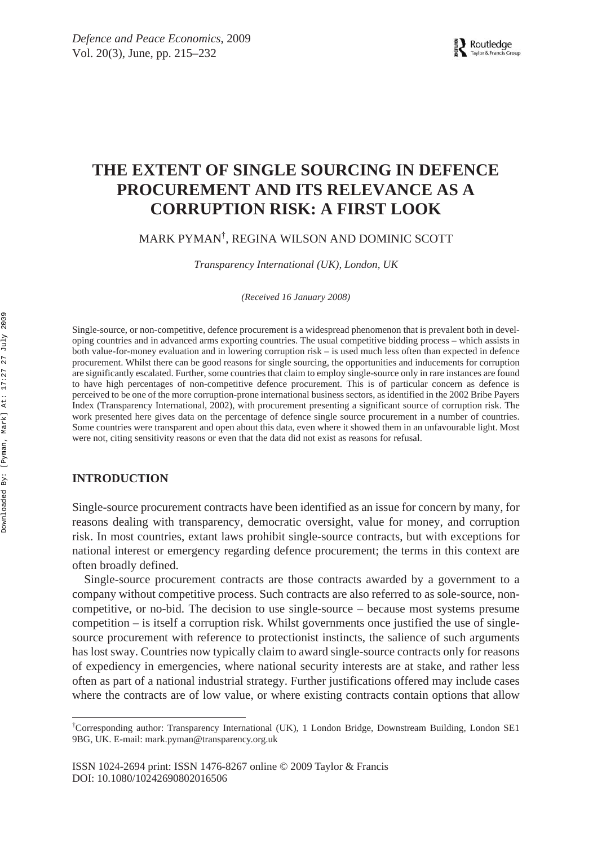# **THE EXTENT OF SINGLE SOURCING IN DEFENCE PROCUREMENT AND ITS RELEVANCE AS A CORRUPTION RISK: A FIRST LOOK**

MARK PYMAN† , REGINA WILSON AND DOMINIC SCOTT

*Transparency International (UK), London, UK*

(Received 16 January 2008)

Single-source, or non-competitive, defence procurement is a widespread phenomenon that is prevalent both in developing countries and in advanced arms exporting countries. The usual competitive bidding process – which assists in both value-for-money evaluation and in lowering corruption risk – is used much less often than expected in defence procurement. Whilst there can be good reasons for single sourcing, the opportunities and inducements for corruption are significantly escalated. Further, some countries that claim to employ single-source only in rare instances are found to have high percentages of non-competitive defence procurement. This is of particular concern as defence is perceived to be one of the more corruption-prone international business sectors, as identified in the 2002 Bribe Payers Index (Transparency International, 2002), with procurement presenting a significant source of corruption risk. The work presented here gives data on the percentage of defence single source procurement in a number of countries. Some countries were transparent and open about this data, even where it showed them in an unfavourable light. Most were not, citing sensitivity reasons or even that the data did not exist as reasons for refusal.

## **INTRODUCTION**

Single-source procurement contracts have been identified as an issue for concern by many, for reasons dealing with transparency, democratic oversight, value for money, and corruption risk. In most countries, extant laws prohibit single-source contracts, but with exceptions for national interest or emergency regarding defence procurement; the terms in this context are often broadly defined.

Single-source procurement contracts are those contracts awarded by a government to a company without competitive process. Such contracts are also referred to as sole-source, noncompetitive, or no-bid. The decision to use single-source – because most systems presume competition – is itself a corruption risk. Whilst governments once justified the use of singlesource procurement with reference to protectionist instincts, the salience of such arguments has lost sway. Countries now typically claim to award single-source contracts only for reasons of expediency in emergencies, where national security interests are at stake, and rather less often as part of a national industrial strategy. Further justifications offered may include cases where the contracts are of low value, or where existing contracts contain options that allow

<sup>†</sup> Corresponding author: Transparency International (UK), 1 London Bridge, Downstream Building, London SE1 9BG, UK. E-mail: mark.pyman@transparency.org.uk

ISSN 1024-2694 print: ISSN 1476-8267 online © 2009 Taylor & Francis DOI: 10.1080/10242690802016506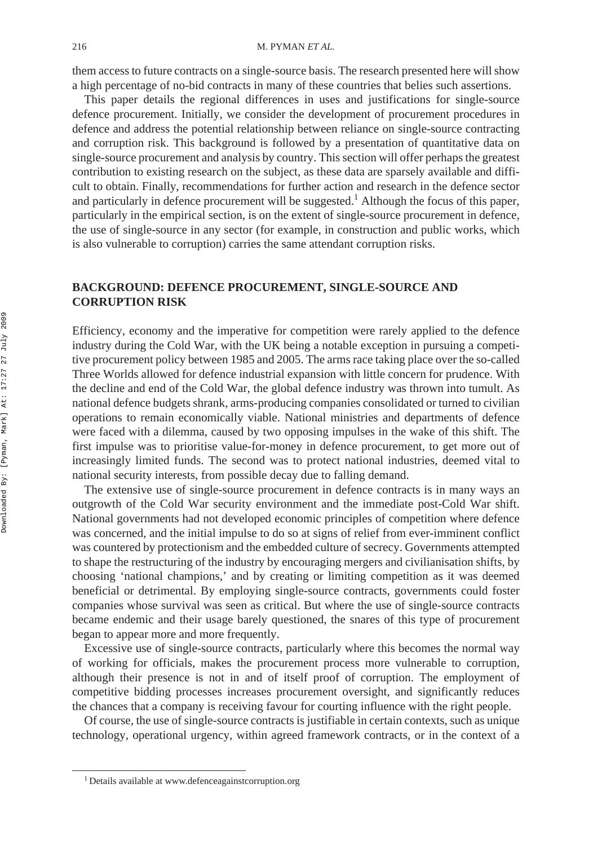them access to future contracts on a single-source basis. The research presented here will show a high percentage of no-bid contracts in many of these countries that belies such assertions.

This paper details the regional differences in uses and justifications for single-source defence procurement. Initially, we consider the development of procurement procedures in defence and address the potential relationship between reliance on single-source contracting and corruption risk. This background is followed by a presentation of quantitative data on single-source procurement and analysis by country. This section will offer perhaps the greatest contribution to existing research on the subject, as these data are sparsely available and difficult to obtain. Finally, recommendations for further action and research in the defence sector and particularly in defence procurement will be suggested.<sup>1</sup> Although the focus of this paper, particularly in the empirical section, is on the extent of single-source procurement in defence, the use of single-source in any sector (for example, in construction and public works, which is also vulnerable to corruption) carries the same attendant corruption risks.

## **BACKGROUND: DEFENCE PROCUREMENT, SINGLE-SOURCE AND CORRUPTION RISK**

Efficiency, economy and the imperative for competition were rarely applied to the defence industry during the Cold War, with the UK being a notable exception in pursuing a competitive procurement policy between 1985 and 2005. The arms race taking place over the so-called Three Worlds allowed for defence industrial expansion with little concern for prudence. With the decline and end of the Cold War, the global defence industry was thrown into tumult. As national defence budgets shrank, arms-producing companies consolidated or turned to civilian operations to remain economically viable. National ministries and departments of defence were faced with a dilemma, caused by two opposing impulses in the wake of this shift. The first impulse was to prioritise value-for-money in defence procurement, to get more out of increasingly limited funds. The second was to protect national industries, deemed vital to national security interests, from possible decay due to falling demand.

The extensive use of single-source procurement in defence contracts is in many ways an outgrowth of the Cold War security environment and the immediate post-Cold War shift. National governments had not developed economic principles of competition where defence was concerned, and the initial impulse to do so at signs of relief from ever-imminent conflict was countered by protectionism and the embedded culture of secrecy. Governments attempted to shape the restructuring of the industry by encouraging mergers and civilianisation shifts, by choosing 'national champions,' and by creating or limiting competition as it was deemed beneficial or detrimental. By employing single-source contracts, governments could foster companies whose survival was seen as critical. But where the use of single-source contracts became endemic and their usage barely questioned, the snares of this type of procurement began to appear more and more frequently.

Excessive use of single-source contracts, particularly where this becomes the normal way of working for officials, makes the procurement process more vulnerable to corruption, although their presence is not in and of itself proof of corruption. The employment of competitive bidding processes increases procurement oversight, and significantly reduces the chances that a company is receiving favour for courting influence with the right people.

Of course, the use of single-source contracts is justifiable in certain contexts, such as unique technology, operational urgency, within agreed framework contracts, or in the context of a

<sup>&</sup>lt;sup>1</sup> Details available at www.defenceagainstcorruption.org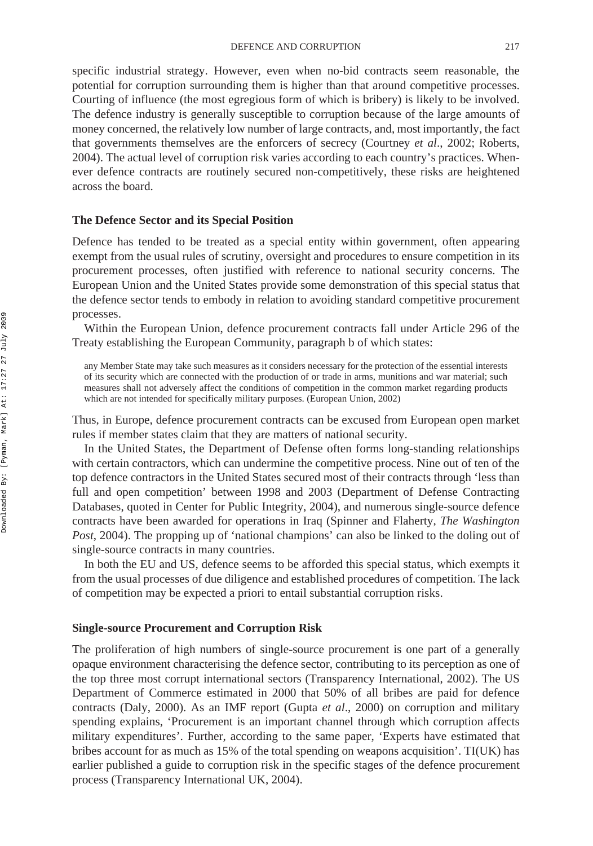specific industrial strategy. However, even when no-bid contracts seem reasonable, the potential for corruption surrounding them is higher than that around competitive processes. Courting of influence (the most egregious form of which is bribery) is likely to be involved. The defence industry is generally susceptible to corruption because of the large amounts of money concerned, the relatively low number of large contracts, and, most importantly, the fact that governments themselves are the enforcers of secrecy (Courtney *et al*., 2002; Roberts, 2004). The actual level of corruption risk varies according to each country's practices. Whenever defence contracts are routinely secured non-competitively, these risks are heightened across the board.

#### **The Defence Sector and its Special Position**

Defence has tended to be treated as a special entity within government, often appearing exempt from the usual rules of scrutiny, oversight and procedures to ensure competition in its procurement processes, often justified with reference to national security concerns. The European Union and the United States provide some demonstration of this special status that the defence sector tends to embody in relation to avoiding standard competitive procurement processes.

Within the European Union, defence procurement contracts fall under Article 296 of the Treaty establishing the European Community, paragraph b of which states:

any Member State may take such measures as it considers necessary for the protection of the essential interests of its security which are connected with the production of or trade in arms, munitions and war material; such measures shall not adversely affect the conditions of competition in the common market regarding products which are not intended for specifically military purposes. (European Union, 2002)

Thus, in Europe, defence procurement contracts can be excused from European open market rules if member states claim that they are matters of national security.

In the United States, the Department of Defense often forms long-standing relationships with certain contractors, which can undermine the competitive process. Nine out of ten of the top defence contractors in the United States secured most of their contracts through 'less than full and open competition' between 1998 and 2003 (Department of Defense Contracting Databases, quoted in Center for Public Integrity, 2004), and numerous single-source defence contracts have been awarded for operations in Iraq (Spinner and Flaherty, *The Washington Post*, 2004). The propping up of 'national champions' can also be linked to the doling out of single-source contracts in many countries.

In both the EU and US, defence seems to be afforded this special status, which exempts it from the usual processes of due diligence and established procedures of competition. The lack of competition may be expected a priori to entail substantial corruption risks.

#### **Single-source Procurement and Corruption Risk**

The proliferation of high numbers of single-source procurement is one part of a generally opaque environment characterising the defence sector, contributing to its perception as one of the top three most corrupt international sectors (Transparency International, 2002). The US Department of Commerce estimated in 2000 that 50% of all bribes are paid for defence contracts (Daly, 2000). As an IMF report (Gupta *et al*., 2000) on corruption and military spending explains, 'Procurement is an important channel through which corruption affects military expenditures'. Further, according to the same paper, 'Experts have estimated that bribes account for as much as 15% of the total spending on weapons acquisition'. TI(UK) has earlier published a guide to corruption risk in the specific stages of the defence procurement process (Transparency International UK, 2004).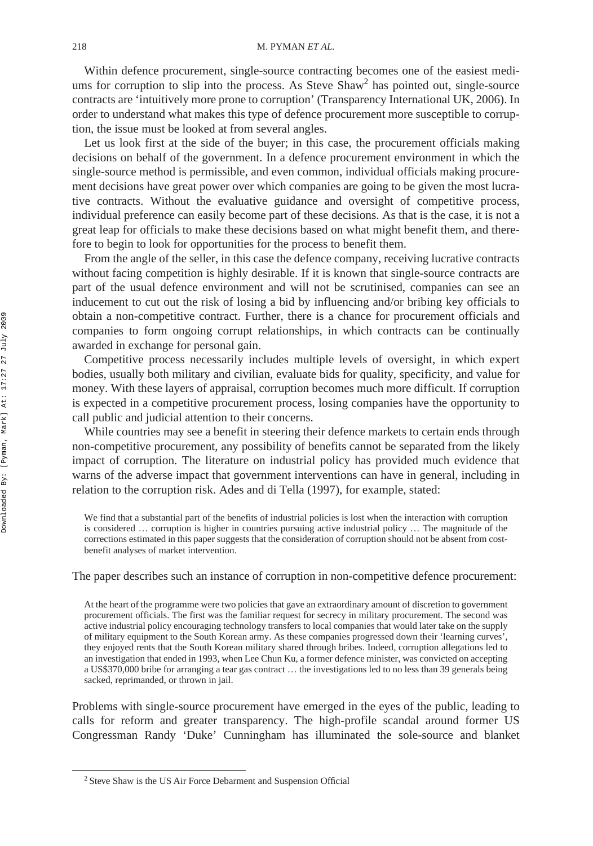Within defence procurement, single-source contracting becomes one of the easiest mediums for corruption to slip into the process. As Steve Shaw<sup>2</sup> has pointed out, single-source contracts are 'intuitively more prone to corruption' (Transparency International UK, 2006). In order to understand what makes this type of defence procurement more susceptible to corruption, the issue must be looked at from several angles.

Let us look first at the side of the buyer; in this case, the procurement officials making decisions on behalf of the government. In a defence procurement environment in which the single-source method is permissible, and even common, individual officials making procurement decisions have great power over which companies are going to be given the most lucrative contracts. Without the evaluative guidance and oversight of competitive process, individual preference can easily become part of these decisions. As that is the case, it is not a great leap for officials to make these decisions based on what might benefit them, and therefore to begin to look for opportunities for the process to benefit them.

From the angle of the seller, in this case the defence company, receiving lucrative contracts without facing competition is highly desirable. If it is known that single-source contracts are part of the usual defence environment and will not be scrutinised, companies can see an inducement to cut out the risk of losing a bid by influencing and/or bribing key officials to obtain a non-competitive contract. Further, there is a chance for procurement officials and companies to form ongoing corrupt relationships, in which contracts can be continually awarded in exchange for personal gain.

Competitive process necessarily includes multiple levels of oversight, in which expert bodies, usually both military and civilian, evaluate bids for quality, specificity, and value for money. With these layers of appraisal, corruption becomes much more difficult. If corruption is expected in a competitive procurement process, losing companies have the opportunity to call public and judicial attention to their concerns.

While countries may see a benefit in steering their defence markets to certain ends through non-competitive procurement, any possibility of benefits cannot be separated from the likely impact of corruption. The literature on industrial policy has provided much evidence that warns of the adverse impact that government interventions can have in general, including in relation to the corruption risk. Ades and di Tella (1997), for example, stated:

We find that a substantial part of the benefits of industrial policies is lost when the interaction with corruption is considered … corruption is higher in countries pursuing active industrial policy … The magnitude of the corrections estimated in this paper suggests that the consideration of corruption should not be absent from costbenefit analyses of market intervention.

The paper describes such an instance of corruption in non-competitive defence procurement:

At the heart of the programme were two policies that gave an extraordinary amount of discretion to government procurement officials. The first was the familiar request for secrecy in military procurement. The second was active industrial policy encouraging technology transfers to local companies that would later take on the supply of military equipment to the South Korean army. As these companies progressed down their 'learning curves', they enjoyed rents that the South Korean military shared through bribes. Indeed, corruption allegations led to an investigation that ended in 1993, when Lee Chun Ku, a former defence minister, was convicted on accepting a US\$370,000 bribe for arranging a tear gas contract … the investigations led to no less than 39 generals being sacked, reprimanded, or thrown in jail.

Problems with single-source procurement have emerged in the eyes of the public, leading to calls for reform and greater transparency. The high-profile scandal around former US Congressman Randy 'Duke' Cunningham has illuminated the sole-source and blanket

<sup>2</sup> Steve Shaw is the US Air Force Debarment and Suspension Official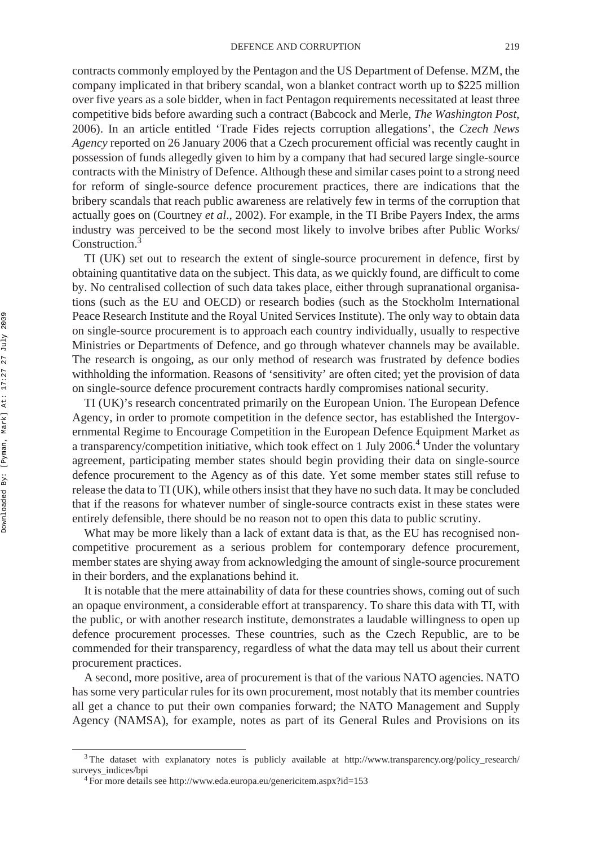contracts commonly employed by the Pentagon and the US Department of Defense. MZM, the company implicated in that bribery scandal, won a blanket contract worth up to \$225 million over five years as a sole bidder, when in fact Pentagon requirements necessitated at least three competitive bids before awarding such a contract (Babcock and Merle, *The Washington Post*, 2006). In an article entitled 'Trade Fides rejects corruption allegations', the *Czech News Agency* reported on 26 January 2006 that a Czech procurement official was recently caught in possession of funds allegedly given to him by a company that had secured large single-source contracts with the Ministry of Defence. Although these and similar cases point to a strong need for reform of single-source defence procurement practices, there are indications that the bribery scandals that reach public awareness are relatively few in terms of the corruption that actually goes on (Courtney *et al*., 2002). For example, in the TI Bribe Payers Index, the arms industry was perceived to be the second most likely to involve bribes after Public Works/ Construction.<sup>3</sup>

TI (UK) set out to research the extent of single-source procurement in defence, first by obtaining quantitative data on the subject. This data, as we quickly found, are difficult to come by. No centralised collection of such data takes place, either through supranational organisations (such as the EU and OECD) or research bodies (such as the Stockholm International Peace Research Institute and the Royal United Services Institute). The only way to obtain data on single-source procurement is to approach each country individually, usually to respective Ministries or Departments of Defence, and go through whatever channels may be available. The research is ongoing, as our only method of research was frustrated by defence bodies withholding the information. Reasons of 'sensitivity' are often cited; yet the provision of data on single-source defence procurement contracts hardly compromises national security.

TI (UK)'s research concentrated primarily on the European Union. The European Defence Agency, in order to promote competition in the defence sector, has established the Intergovernmental Regime to Encourage Competition in the European Defence Equipment Market as a transparency/competition initiative, which took effect on 1 July 2006.<sup>4</sup> Under the voluntary agreement, participating member states should begin providing their data on single-source defence procurement to the Agency as of this date. Yet some member states still refuse to release the data to TI (UK), while others insist that they have no such data. It may be concluded that if the reasons for whatever number of single-source contracts exist in these states were entirely defensible, there should be no reason not to open this data to public scrutiny.

What may be more likely than a lack of extant data is that, as the EU has recognised noncompetitive procurement as a serious problem for contemporary defence procurement, member states are shying away from acknowledging the amount of single-source procurement in their borders, and the explanations behind it.

It is notable that the mere attainability of data for these countries shows, coming out of such an opaque environment, a considerable effort at transparency. To share this data with TI, with the public, or with another research institute, demonstrates a laudable willingness to open up defence procurement processes. These countries, such as the Czech Republic, are to be commended for their transparency, regardless of what the data may tell us about their current procurement practices.

A second, more positive, area of procurement is that of the various NATO agencies. NATO has some very particular rules for its own procurement, most notably that its member countries all get a chance to put their own companies forward; the NATO Management and Supply Agency (NAMSA), for example, notes as part of its General Rules and Provisions on its

<sup>3</sup> The dataset with explanatory notes is publicly available at http://www.transparency.org/policy\_research/

<sup>&</sup>lt;sup>4</sup> For more details see http://www.eda.europa.eu/genericitem.aspx?id=153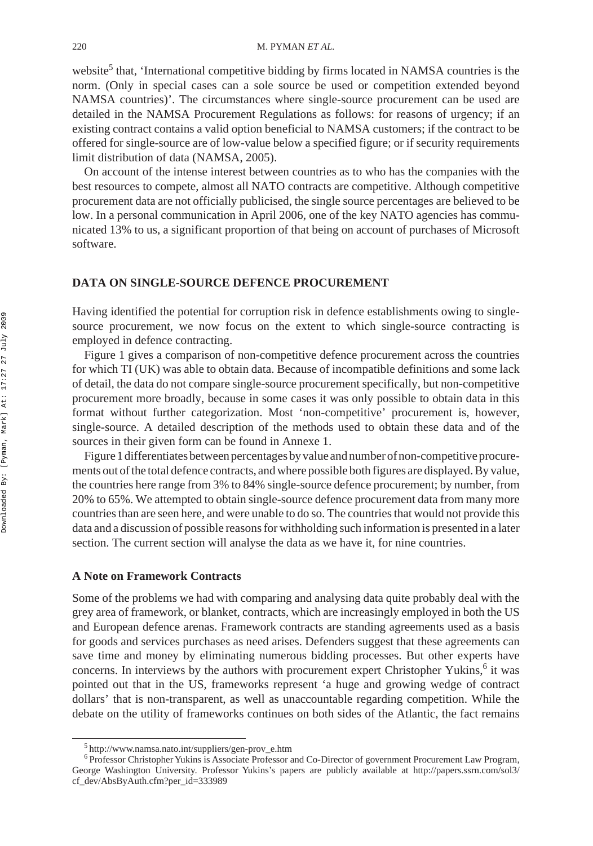website<sup>5</sup> that, 'International competitive bidding by firms located in NAMSA countries is the norm. (Only in special cases can a sole source be used or competition extended beyond NAMSA countries)'. The circumstances where single-source procurement can be used are detailed in the NAMSA Procurement Regulations as follows: for reasons of urgency; if an existing contract contains a valid option beneficial to NAMSA customers; if the contract to be offered for single-source are of low-value below a specified figure; or if security requirements limit distribution of data (NAMSA, 2005).

On account of the intense interest between countries as to who has the companies with the best resources to compete, almost all NATO contracts are competitive. Although competitive procurement data are not officially publicised, the single source percentages are believed to be low. In a personal communication in April 2006, one of the key NATO agencies has communicated 13% to us, a significant proportion of that being on account of purchases of Microsoft software.

## **DATA ON SINGLE-SOURCE DEFENCE PROCUREMENT**

Having identified the potential for corruption risk in defence establishments owing to singlesource procurement, we now focus on the extent to which single-source contracting is employed in defence contracting.

Figure 1 gives a comparison of non-competitive defence procurement across the countries for which TI (UK) was able to obtain data. Because of incompatible definitions and some lack of detail, the data do not compare single-source procurement specifically, but non-competitive procurement more broadly, because in some cases it was only possible to obtain data in this format without further categorization. Most 'non-competitive' procurement is, however, single-source. A detailed description of the methods used to obtain these data and of the sources in their given form can be found in Annexe 1.

Figure 1 differentiates between percentages by value and number of non-competitive procurements out of the total defence contracts, and where possible both figures are displayed. By value, the countries here range from 3% to 84% single-source defence procurement; by number, from 20% to 65%. We attempted to obtain single-source defence procurement data from many more countries than are seen here, and were unable to do so. The countries that would not provide this data and a discussion of possible reasons for withholding such information is presented in a later section. The current section will analyse the data as we have it, for nine countries.

## **A Note on Framework Contracts**

Some of the problems we had with comparing and analysing data quite probably deal with the grey area of framework, or blanket, contracts, which are increasingly employed in both the US and European defence arenas. Framework contracts are standing agreements used as a basis for goods and services purchases as need arises. Defenders suggest that these agreements can save time and money by eliminating numerous bidding processes. But other experts have concerns. In interviews by the authors with procurement expert Christopher Yukins, $6$  it was pointed out that in the US, frameworks represent 'a huge and growing wedge of contract dollars' that is non-transparent, as well as unaccountable regarding competition. While the debate on the utility of frameworks continues on both sides of the Atlantic, the fact remains

<sup>5</sup> http://www.namsa.nato.int/suppliers/gen-prov\_e.htm

<sup>6</sup> Professor Christopher Yukins is Associate Professor and Co-Director of government Procurement Law Program, George Washington University. Professor Yukins's papers are publicly available at http://papers.ssrn.com/sol3/ cf\_dev/AbsByAuth.cfm?per\_id=333989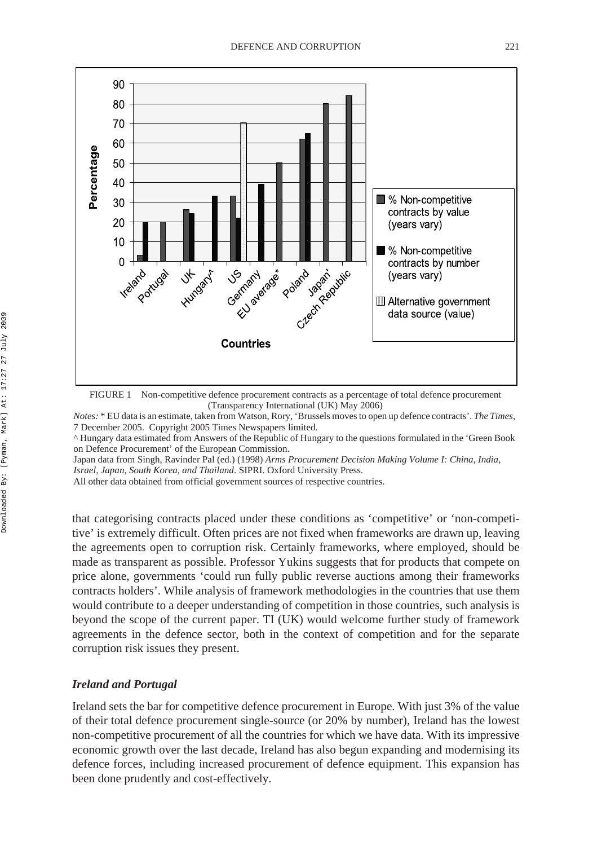

FIGURE 1 Non-competitive defence procurement contracts as a percentage of total defence procurement (Transparency International (UK) May 2006)

*Notes:* \* EU data is an estimate, taken from Watson, Rory, 'Brussels moves to open up defence contracts'. *The Times*, 7 December 2005. Copyright 2005 Times Newspapers limited.

^ Hungary data estimated from Answers of the Republic of Hungary to the questions formulated in the 'Green Book on Defence Procurement' of the European Commission.

Japan data from Singh, Ravinder Pal (ed.) (1998) *Arms Procurement Decision Making Volume I: China, India, Israel, Japan, South Korea, and Thailand*. SIPRI. Oxford University Press.

All other data obtained from official government sources of respective countries.

that categorising contracts placed under these conditions as 'competitive' or 'non-competitive' is extremely difficult. Often prices are not fixed when frameworks are drawn up, leaving the agreements open to corruption risk. Certainly frameworks, where employed, should be made as transparent as possible. Professor Yukins suggests that for products that compete on price alone, governments 'could run fully public reverse auctions among their frameworks contracts holders'. While analysis of framework methodologies in the countries that use them would contribute to a deeper understanding of competition in those countries, such analysis is beyond the scope of the current paper. TI (UK) would welcome further study of framework agreements in the defence sector, both in the context of competition and for the separate corruption risk issues they present.

#### *Ireland and Portugal*

Ireland sets the bar for competitive defence procurement in Europe. With just 3% of the value of their total defence procurement single-source (or 20% by number), Ireland has the lowest non-competitive procurement of all the countries for which we have data. With its impressive economic growth over the last decade, Ireland has also begun expanding and modernising its defence forces, including increased procurement of defence equipment. This expansion has been done prudently and cost-effectively.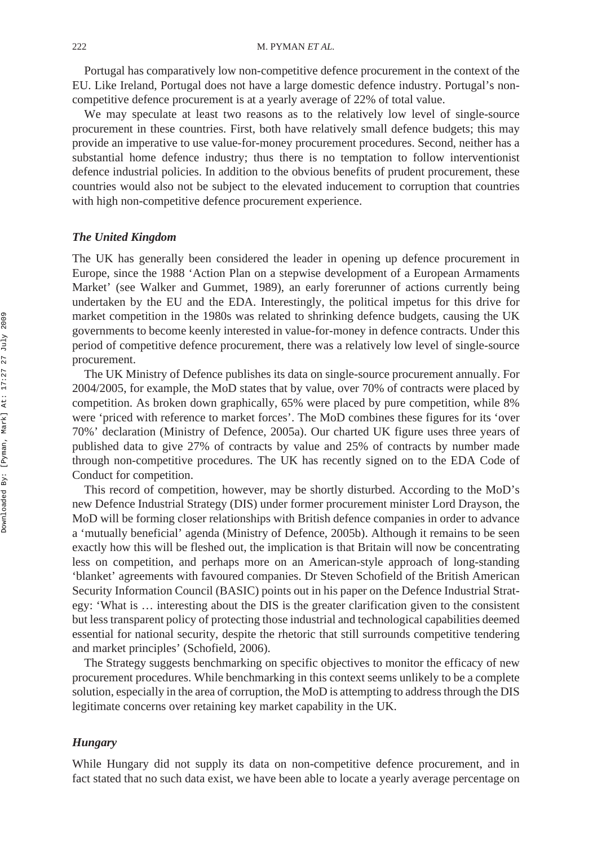Portugal has comparatively low non-competitive defence procurement in the context of the EU. Like Ireland, Portugal does not have a large domestic defence industry. Portugal's noncompetitive defence procurement is at a yearly average of 22% of total value.

We may speculate at least two reasons as to the relatively low level of single-source procurement in these countries. First, both have relatively small defence budgets; this may provide an imperative to use value-for-money procurement procedures. Second, neither has a substantial home defence industry; thus there is no temptation to follow interventionist defence industrial policies. In addition to the obvious benefits of prudent procurement, these countries would also not be subject to the elevated inducement to corruption that countries with high non-competitive defence procurement experience.

## *The United Kingdom*

The UK has generally been considered the leader in opening up defence procurement in Europe, since the 1988 'Action Plan on a stepwise development of a European Armaments Market' (see Walker and Gummet, 1989), an early forerunner of actions currently being undertaken by the EU and the EDA. Interestingly, the political impetus for this drive for market competition in the 1980s was related to shrinking defence budgets, causing the UK governments to become keenly interested in value-for-money in defence contracts. Under this period of competitive defence procurement, there was a relatively low level of single-source procurement.

The UK Ministry of Defence publishes its data on single-source procurement annually. For 2004/2005, for example, the MoD states that by value, over 70% of contracts were placed by competition. As broken down graphically, 65% were placed by pure competition, while 8% were 'priced with reference to market forces'. The MoD combines these figures for its 'over 70%' declaration (Ministry of Defence, 2005a). Our charted UK figure uses three years of published data to give 27% of contracts by value and 25% of contracts by number made through non-competitive procedures. The UK has recently signed on to the EDA Code of Conduct for competition.

This record of competition, however, may be shortly disturbed. According to the MoD's new Defence Industrial Strategy (DIS) under former procurement minister Lord Drayson, the MoD will be forming closer relationships with British defence companies in order to advance a 'mutually beneficial' agenda (Ministry of Defence, 2005b). Although it remains to be seen exactly how this will be fleshed out, the implication is that Britain will now be concentrating less on competition, and perhaps more on an American-style approach of long-standing 'blanket' agreements with favoured companies. Dr Steven Schofield of the British American Security Information Council (BASIC) points out in his paper on the Defence Industrial Strategy: 'What is … interesting about the DIS is the greater clarification given to the consistent but less transparent policy of protecting those industrial and technological capabilities deemed essential for national security, despite the rhetoric that still surrounds competitive tendering and market principles' (Schofield, 2006).

The Strategy suggests benchmarking on specific objectives to monitor the efficacy of new procurement procedures. While benchmarking in this context seems unlikely to be a complete solution, especially in the area of corruption, the MoD is attempting to address through the DIS legitimate concerns over retaining key market capability in the UK.

#### *Hungary*

While Hungary did not supply its data on non-competitive defence procurement, and in fact stated that no such data exist, we have been able to locate a yearly average percentage on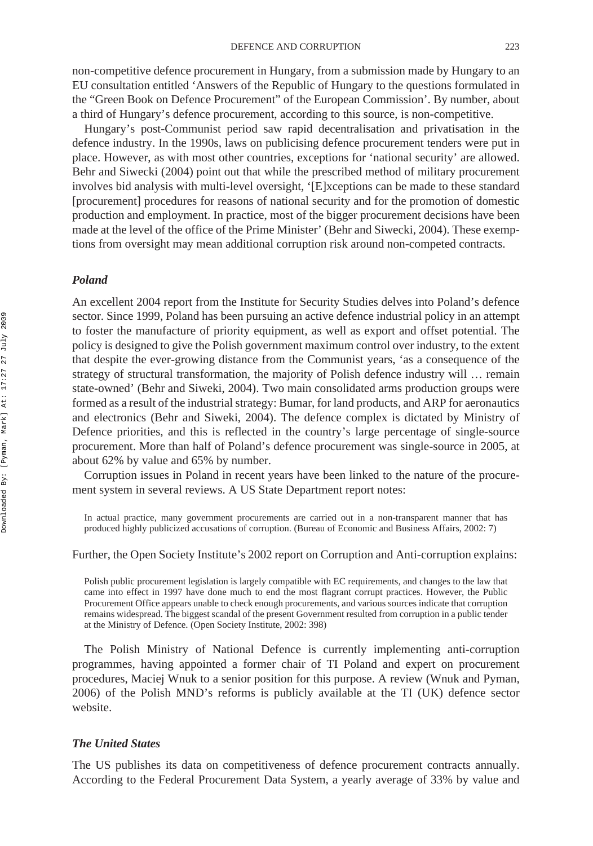non-competitive defence procurement in Hungary, from a submission made by Hungary to an EU consultation entitled 'Answers of the Republic of Hungary to the questions formulated in the "Green Book on Defence Procurement" of the European Commission'. By number, about a third of Hungary's defence procurement, according to this source, is non-competitive.

Hungary's post-Communist period saw rapid decentralisation and privatisation in the defence industry. In the 1990s, laws on publicising defence procurement tenders were put in place. However, as with most other countries, exceptions for 'national security' are allowed. Behr and Siwecki (2004) point out that while the prescribed method of military procurement involves bid analysis with multi-level oversight, '[E]xceptions can be made to these standard [procurement] procedures for reasons of national security and for the promotion of domestic production and employment. In practice, most of the bigger procurement decisions have been made at the level of the office of the Prime Minister' (Behr and Siwecki, 2004). These exemptions from oversight may mean additional corruption risk around non-competed contracts.

## *Poland*

An excellent 2004 report from the Institute for Security Studies delves into Poland's defence sector. Since 1999, Poland has been pursuing an active defence industrial policy in an attempt to foster the manufacture of priority equipment, as well as export and offset potential. The policy is designed to give the Polish government maximum control over industry, to the extent that despite the ever-growing distance from the Communist years, 'as a consequence of the strategy of structural transformation, the majority of Polish defence industry will … remain state-owned' (Behr and Siweki, 2004). Two main consolidated arms production groups were formed as a result of the industrial strategy: Bumar, for land products, and ARP for aeronautics and electronics (Behr and Siweki, 2004). The defence complex is dictated by Ministry of Defence priorities, and this is reflected in the country's large percentage of single-source procurement. More than half of Poland's defence procurement was single-source in 2005, at about 62% by value and 65% by number.

Corruption issues in Poland in recent years have been linked to the nature of the procurement system in several reviews. A US State Department report notes:

In actual practice, many government procurements are carried out in a non-transparent manner that has produced highly publicized accusations of corruption. (Bureau of Economic and Business Affairs, 2002: 7)

#### Further, the Open Society Institute's 2002 report on Corruption and Anti-corruption explains:

Polish public procurement legislation is largely compatible with EC requirements, and changes to the law that came into effect in 1997 have done much to end the most flagrant corrupt practices. However, the Public Procurement Office appears unable to check enough procurements, and various sources indicate that corruption remains widespread. The biggest scandal of the present Government resulted from corruption in a public tender at the Ministry of Defence. (Open Society Institute, 2002: 398)

The Polish Ministry of National Defence is currently implementing anti-corruption programmes, having appointed a former chair of TI Poland and expert on procurement procedures, Maciej Wnuk to a senior position for this purpose. A review (Wnuk and Pyman, 2006) of the Polish MND's reforms is publicly available at the TI (UK) defence sector website.

#### *The United States*

The US publishes its data on competitiveness of defence procurement contracts annually. According to the Federal Procurement Data System, a yearly average of 33% by value and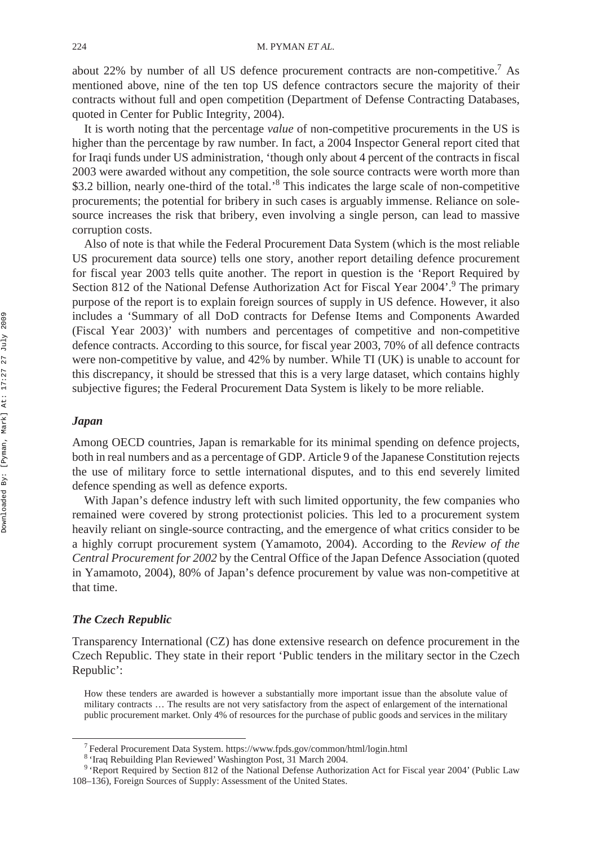about 22% by number of all US defence procurement contracts are non-competitive.<sup>7</sup> As mentioned above, nine of the ten top US defence contractors secure the majority of their contracts without full and open competition (Department of Defense Contracting Databases, quoted in Center for Public Integrity, 2004).

It is worth noting that the percentage *value* of non-competitive procurements in the US is higher than the percentage by raw number. In fact, a 2004 Inspector General report cited that for Iraqi funds under US administration, 'though only about 4 percent of the contracts in fiscal 2003 were awarded without any competition, the sole source contracts were worth more than \$3.2 billion, nearly one-third of the total.<sup>8</sup> This indicates the large scale of non-competitive procurements; the potential for bribery in such cases is arguably immense. Reliance on solesource increases the risk that bribery, even involving a single person, can lead to massive corruption costs.

Also of note is that while the Federal Procurement Data System (which is the most reliable US procurement data source) tells one story, another report detailing defence procurement for fiscal year 2003 tells quite another. The report in question is the 'Report Required by Section 812 of the National Defense Authorization Act for Fiscal Year 2004'.<sup>9</sup> The primary purpose of the report is to explain foreign sources of supply in US defence. However, it also includes a 'Summary of all DoD contracts for Defense Items and Components Awarded (Fiscal Year 2003)' with numbers and percentages of competitive and non-competitive defence contracts. According to this source, for fiscal year 2003, 70% of all defence contracts were non-competitive by value, and 42% by number. While TI (UK) is unable to account for this discrepancy, it should be stressed that this is a very large dataset, which contains highly subjective figures; the Federal Procurement Data System is likely to be more reliable.

### *Japan*

Among OECD countries, Japan is remarkable for its minimal spending on defence projects, both in real numbers and as a percentage of GDP. Article 9 of the Japanese Constitution rejects the use of military force to settle international disputes, and to this end severely limited defence spending as well as defence exports.

With Japan's defence industry left with such limited opportunity, the few companies who remained were covered by strong protectionist policies. This led to a procurement system heavily reliant on single-source contracting, and the emergence of what critics consider to be a highly corrupt procurement system (Yamamoto, 2004). According to the *Review of the Central Procurement for 2002* by the Central Office of the Japan Defence Association (quoted in Yamamoto, 2004), 80% of Japan's defence procurement by value was non-competitive at that time.

#### *The Czech Republic*

Transparency International (CZ) has done extensive research on defence procurement in the Czech Republic. They state in their report 'Public tenders in the military sector in the Czech Republic':

How these tenders are awarded is however a substantially more important issue than the absolute value of military contracts … The results are not very satisfactory from the aspect of enlargement of the international public procurement market. Only 4% of resources for the purchase of public goods and services in the military

 $^7$  Federal Procurement Data System. https://www.fpds.gov/common/html/login.html

<sup>8 &#</sup>x27;Iraq Rebuilding Plan Reviewed' Washington Post, 31 March 2004.

<sup>9 &#</sup>x27;Report Required by Section 812 of the National Defense Authorization Act for Fiscal year 2004' (Public Law 108–136), Foreign Sources of Supply: Assessment of the United States.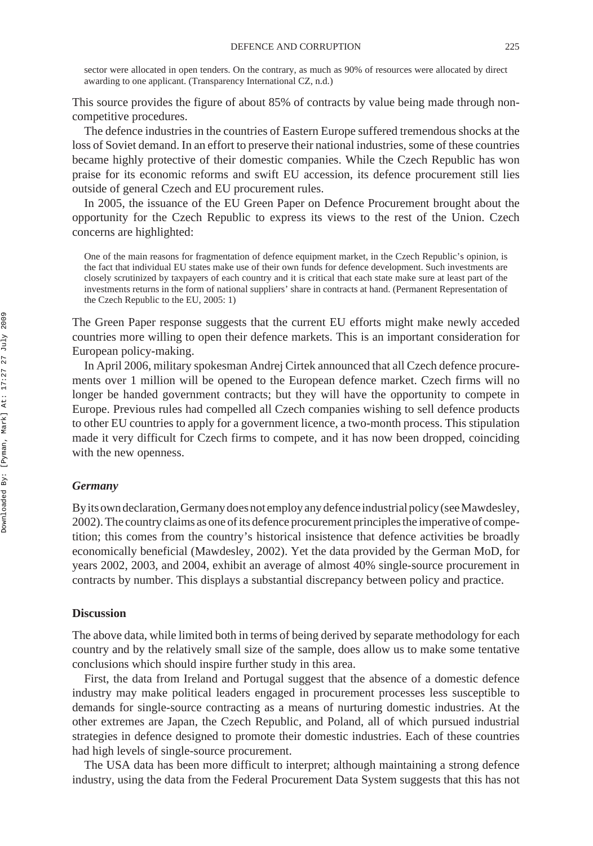sector were allocated in open tenders. On the contrary, as much as 90% of resources were allocated by direct awarding to one applicant. (Transparency International CZ, n.d.)

This source provides the figure of about 85% of contracts by value being made through noncompetitive procedures.

The defence industries in the countries of Eastern Europe suffered tremendous shocks at the loss of Soviet demand. In an effort to preserve their national industries, some of these countries became highly protective of their domestic companies. While the Czech Republic has won praise for its economic reforms and swift EU accession, its defence procurement still lies outside of general Czech and EU procurement rules.

In 2005, the issuance of the EU Green Paper on Defence Procurement brought about the opportunity for the Czech Republic to express its views to the rest of the Union. Czech concerns are highlighted:

One of the main reasons for fragmentation of defence equipment market, in the Czech Republic's opinion, is the fact that individual EU states make use of their own funds for defence development. Such investments are closely scrutinized by taxpayers of each country and it is critical that each state make sure at least part of the investments returns in the form of national suppliers' share in contracts at hand. (Permanent Representation of the Czech Republic to the EU, 2005: 1)

The Green Paper response suggests that the current EU efforts might make newly acceded countries more willing to open their defence markets. This is an important consideration for European policy-making.

In April 2006, military spokesman Andrej Cirtek announced that all Czech defence procurements over 1 million will be opened to the European defence market. Czech firms will no longer be handed government contracts; but they will have the opportunity to compete in Europe. Previous rules had compelled all Czech companies wishing to sell defence products to other EU countries to apply for a government licence, a two-month process. This stipulation made it very difficult for Czech firms to compete, and it has now been dropped, coinciding with the new openness.

## *Germany*

By its own declaration, Germany does not employ any defence industrial policy (see Mawdesley, 2002). The country claims as one of its defence procurement principles the imperative of competition; this comes from the country's historical insistence that defence activities be broadly economically beneficial (Mawdesley, 2002). Yet the data provided by the German MoD, for years 2002, 2003, and 2004, exhibit an average of almost 40% single-source procurement in contracts by number. This displays a substantial discrepancy between policy and practice.

#### **Discussion**

The above data, while limited both in terms of being derived by separate methodology for each country and by the relatively small size of the sample, does allow us to make some tentative conclusions which should inspire further study in this area.

First, the data from Ireland and Portugal suggest that the absence of a domestic defence industry may make political leaders engaged in procurement processes less susceptible to demands for single-source contracting as a means of nurturing domestic industries. At the other extremes are Japan, the Czech Republic, and Poland, all of which pursued industrial strategies in defence designed to promote their domestic industries. Each of these countries had high levels of single-source procurement.

The USA data has been more difficult to interpret; although maintaining a strong defence industry, using the data from the Federal Procurement Data System suggests that this has not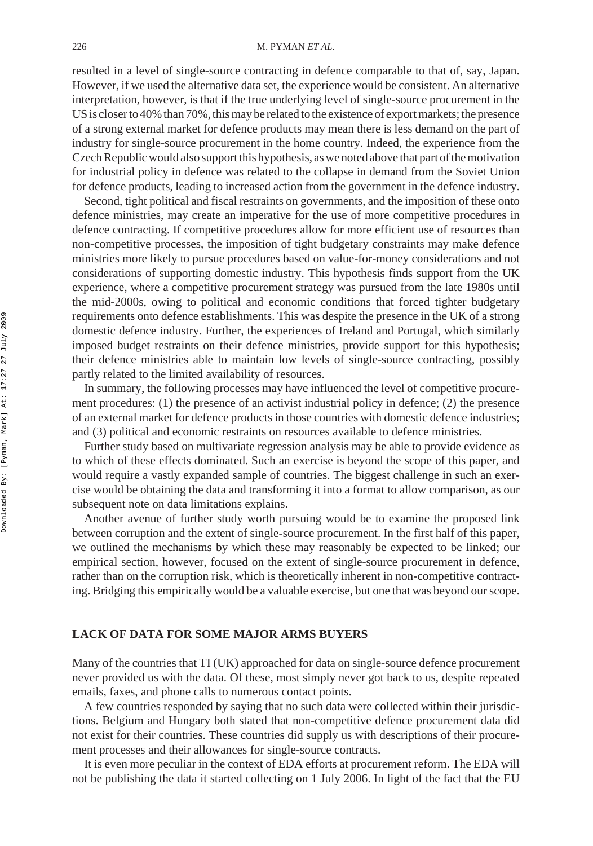#### 226 M. PYMAN *ET AL.*

resulted in a level of single-source contracting in defence comparable to that of, say, Japan. However, if we used the alternative data set, the experience would be consistent. An alternative interpretation, however, is that if the true underlying level of single-source procurement in the US is closer to 40% than 70%, this may be related to the existence of export markets; the presence of a strong external market for defence products may mean there is less demand on the part of industry for single-source procurement in the home country. Indeed, the experience from the Czech Republic would also support this hypothesis, as we noted above that part of the motivation for industrial policy in defence was related to the collapse in demand from the Soviet Union for defence products, leading to increased action from the government in the defence industry.

Second, tight political and fiscal restraints on governments, and the imposition of these onto defence ministries, may create an imperative for the use of more competitive procedures in defence contracting. If competitive procedures allow for more efficient use of resources than non-competitive processes, the imposition of tight budgetary constraints may make defence ministries more likely to pursue procedures based on value-for-money considerations and not considerations of supporting domestic industry. This hypothesis finds support from the UK experience, where a competitive procurement strategy was pursued from the late 1980s until the mid-2000s, owing to political and economic conditions that forced tighter budgetary requirements onto defence establishments. This was despite the presence in the UK of a strong domestic defence industry. Further, the experiences of Ireland and Portugal, which similarly imposed budget restraints on their defence ministries, provide support for this hypothesis; their defence ministries able to maintain low levels of single-source contracting, possibly partly related to the limited availability of resources.

In summary, the following processes may have influenced the level of competitive procurement procedures: (1) the presence of an activist industrial policy in defence; (2) the presence of an external market for defence products in those countries with domestic defence industries; and (3) political and economic restraints on resources available to defence ministries.

Further study based on multivariate regression analysis may be able to provide evidence as to which of these effects dominated. Such an exercise is beyond the scope of this paper, and would require a vastly expanded sample of countries. The biggest challenge in such an exercise would be obtaining the data and transforming it into a format to allow comparison, as our subsequent note on data limitations explains.

Another avenue of further study worth pursuing would be to examine the proposed link between corruption and the extent of single-source procurement. In the first half of this paper, we outlined the mechanisms by which these may reasonably be expected to be linked; our empirical section, however, focused on the extent of single-source procurement in defence, rather than on the corruption risk, which is theoretically inherent in non-competitive contracting. Bridging this empirically would be a valuable exercise, but one that was beyond our scope.

## **LACK OF DATA FOR SOME MAJOR ARMS BUYERS**

Many of the countries that TI (UK) approached for data on single-source defence procurement never provided us with the data. Of these, most simply never got back to us, despite repeated emails, faxes, and phone calls to numerous contact points.

A few countries responded by saying that no such data were collected within their jurisdictions. Belgium and Hungary both stated that non-competitive defence procurement data did not exist for their countries. These countries did supply us with descriptions of their procurement processes and their allowances for single-source contracts.

It is even more peculiar in the context of EDA efforts at procurement reform. The EDA will not be publishing the data it started collecting on 1 July 2006. In light of the fact that the EU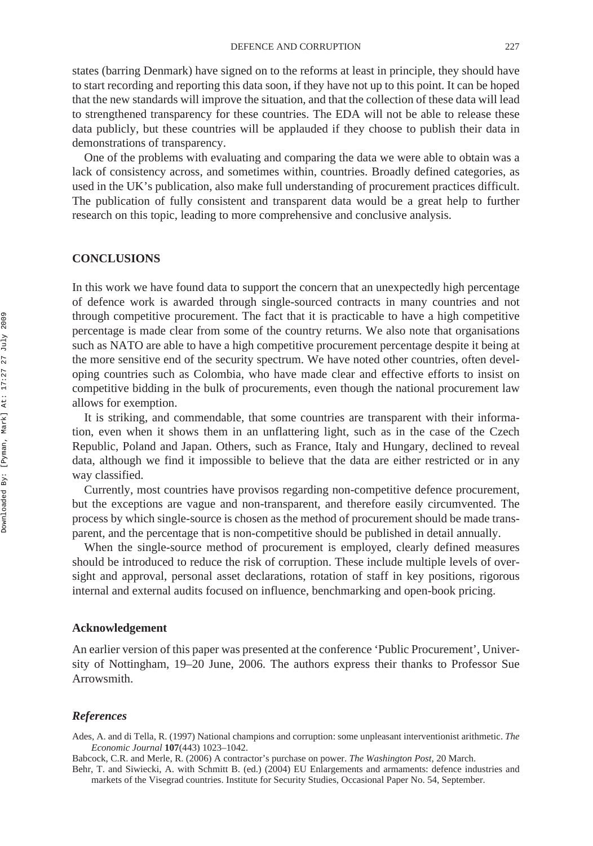states (barring Denmark) have signed on to the reforms at least in principle, they should have to start recording and reporting this data soon, if they have not up to this point. It can be hoped that the new standards will improve the situation, and that the collection of these data will lead to strengthened transparency for these countries. The EDA will not be able to release these data publicly, but these countries will be applauded if they choose to publish their data in demonstrations of transparency.

One of the problems with evaluating and comparing the data we were able to obtain was a lack of consistency across, and sometimes within, countries. Broadly defined categories, as used in the UK's publication, also make full understanding of procurement practices difficult. The publication of fully consistent and transparent data would be a great help to further research on this topic, leading to more comprehensive and conclusive analysis.

#### **CONCLUSIONS**

In this work we have found data to support the concern that an unexpectedly high percentage of defence work is awarded through single-sourced contracts in many countries and not through competitive procurement. The fact that it is practicable to have a high competitive percentage is made clear from some of the country returns. We also note that organisations such as NATO are able to have a high competitive procurement percentage despite it being at the more sensitive end of the security spectrum. We have noted other countries, often developing countries such as Colombia, who have made clear and effective efforts to insist on competitive bidding in the bulk of procurements, even though the national procurement law allows for exemption.

It is striking, and commendable, that some countries are transparent with their information, even when it shows them in an unflattering light, such as in the case of the Czech Republic, Poland and Japan. Others, such as France, Italy and Hungary, declined to reveal data, although we find it impossible to believe that the data are either restricted or in any way classified.

Currently, most countries have provisos regarding non-competitive defence procurement, but the exceptions are vague and non-transparent, and therefore easily circumvented. The process by which single-source is chosen as the method of procurement should be made transparent, and the percentage that is non-competitive should be published in detail annually.

When the single-source method of procurement is employed, clearly defined measures should be introduced to reduce the risk of corruption. These include multiple levels of oversight and approval, personal asset declarations, rotation of staff in key positions, rigorous internal and external audits focused on influence, benchmarking and open-book pricing.

#### **Acknowledgement**

An earlier version of this paper was presented at the conference 'Public Procurement', University of Nottingham, 19–20 June, 2006. The authors express their thanks to Professor Sue Arrowsmith.

#### *References*

Ades, A. and di Tella, R. (1997) National champions and corruption: some unpleasant interventionist arithmetic. *The Economic Journal* **107**(443) 1023–1042.

Babcock, C.R. and Merle, R. (2006) A contractor's purchase on power. *The Washington Post,* 20 March.

Behr, T. and Siwiecki, A. with Schmitt B. (ed.) (2004) EU Enlargements and armaments: defence industries and markets of the Visegrad countries. Institute for Security Studies, Occasional Paper No. 54, September.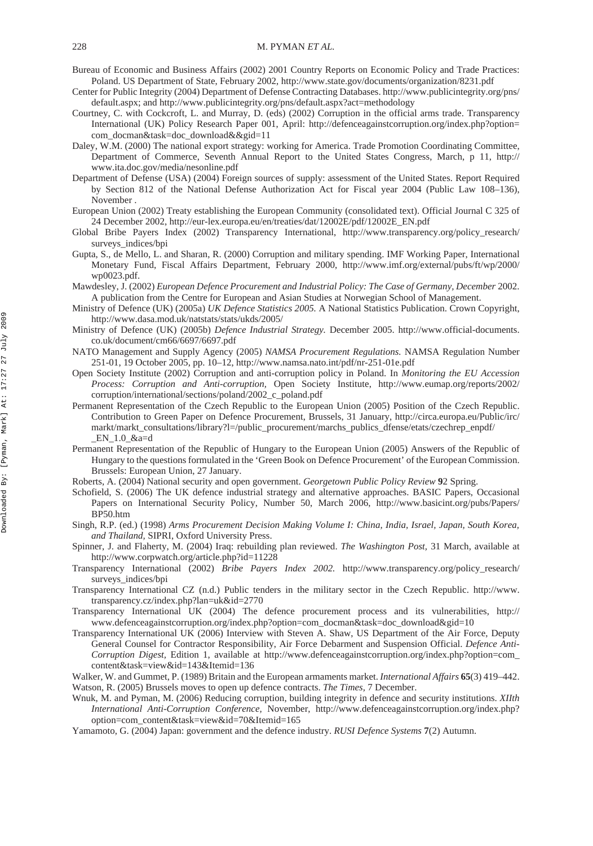- Bureau of Economic and Business Affairs (2002) 2001 Country Reports on Economic Policy and Trade Practices: Poland. US Department of State, February 2002, http://www.state.gov/documents/organization/8231.pdf
- Center for Public Integrity (2004) Department of Defense Contracting Databases. http://www.publicintegrity.org/pns/ default.aspx; and http://www.publicintegrity.org/pns/default.aspx?act=methodology
- Courtney, C. with Cockcroft, L. and Murray, D. (eds) (2002) Corruption in the official arms trade. Transparency International (UK) Policy Research Paper 001, April: http://defenceagainstcorruption.org/index.php?option= com\_docman&task=doc\_download&&gid=11
- Daley, W.M. (2000) The national export strategy: working for America. Trade Promotion Coordinating Committee, Department of Commerce, Seventh Annual Report to the United States Congress, March, p 11, http:// www.ita.doc.gov/media/nesonline.pdf
- Department of Defense (USA) (2004) Foreign sources of supply: assessment of the United States. Report Required by Section 812 of the National Defense Authorization Act for Fiscal year 2004 (Public Law 108–136), November .
- European Union (2002) Treaty establishing the European Community (consolidated text). Official Journal C 325 of 24 December 2002, http://eur-lex.europa.eu/en/treaties/dat/12002E/pdf/12002E\_EN.pdf
- Global Bribe Payers Index (2002) Transparency International, http://www.transparency.org/policy\_research/ surveys\_indices/bpi
- Gupta, S., de Mello, L. and Sharan, R. (2000) Corruption and military spending. IMF Working Paper, International Monetary Fund, Fiscal Affairs Department, February 2000, http://www.imf.org/external/pubs/ft/wp/2000/ wp0023.pdf.
- Mawdesley, J. (2002) *European Defence Procurement and Industrial Policy: The Case of Germany, December* 2002. A publication from the Centre for European and Asian Studies at Norwegian School of Management.
- Ministry of Defence (UK) (2005a) *UK Defence Statistics 2005.* A National Statistics Publication. Crown Copyright, http://www.dasa.mod.uk/natstats/stats/ukds/2005/
- Ministry of Defence (UK) (2005b) *Defence Industrial Strategy.* December 2005. http://www.official-documents. co.uk/document/cm66/6697/6697.pdf
- NATO Management and Supply Agency (2005) *NAMSA Procurement Regulations.* NAMSA Regulation Number 251-01, 19 October 2005, pp. 10–12, http://www.namsa.nato.int/pdf/nr-251-01e.pdf
- Open Society Institute (2002) Corruption and anti-corruption policy in Poland. In *Monitoring the EU Accession Process: Corruption and Anti-corruption,* Open Society Institute, http://www.eumap.org/reports/2002/ corruption/international/sections/poland/2002\_c\_poland.pdf
- Permanent Representation of the Czech Republic to the European Union (2005) Position of the Czech Republic. Contribution to Green Paper on Defence Procurement, Brussels, 31 January, http://circa.europa.eu/Public/irc/ markt/markt\_consultations/library?l=/public\_procurement/marchs\_publics\_dfense/etats/czechrep\_enpdf/ \_EN\_1.0\_&a=d
- Permanent Representation of the Republic of Hungary to the European Union (2005) Answers of the Republic of Hungary to the questions formulated in the 'Green Book on Defence Procurement' of the European Commission. Brussels: European Union, 27 January.
- Roberts, A. (2004) National security and open government. *Georgetown Public Policy Review* **9**2 Spring.
- Schofield, S. (2006) The UK defence industrial strategy and alternative approaches. BASIC Papers, Occasional Papers on International Security Policy, Number 50, March 2006, http://www.basicint.org/pubs/Papers/ BP50.htm
- Singh, R.P. (ed.) (1998) *Arms Procurement Decision Making Volume I: China, India, Israel, Japan, South Korea, and Thailand,* SIPRI, Oxford University Press.
- Spinner, J. and Flaherty, M. (2004) Iraq: rebuilding plan reviewed. *The Washington Post,* 31 March, available at http://www.corpwatch.org/article.php?id=11228
- Transparency International (2002) *Bribe Payers Index 2002.* http://www.transparency.org/policy\_research/ surveys\_indices/bpi
- Transparency International CZ (n.d.) Public tenders in the military sector in the Czech Republic. http://www. transparency.cz/index.php?lan=uk&id=2770
- Transparency International UK (2004) The defence procurement process and its vulnerabilities, http:// www.defenceagainstcorruption.org/index.php?option=com\_docman&task=doc\_download&gid=10
- Transparency International UK (2006) Interview with Steven A. Shaw, US Department of the Air Force, Deputy General Counsel for Contractor Responsibility, Air Force Debarment and Suspension Official. *Defence Anti-Corruption Digest,* Edition 1, available at http://www.defenceagainstcorruption.org/index.php?option=com\_ content&task=view&id=143&Itemid=136
- Walker, W. and Gummet, P. (1989) Britain and the European armaments market. *International Affairs* **65**(3) 419–442. Watson, R. (2005) Brussels moves to open up defence contracts. *The Times,* 7 December.
- Wnuk, M. and Pyman, M. (2006) Reducing corruption, building integrity in defence and security institutions. *XIIth International Anti-Corruption Conference,* November, http://www.defenceagainstcorruption.org/index.php? option=com\_content&task=view&id=70&Itemid=165
- Yamamoto, G. (2004) Japan: government and the defence industry. *RUSI Defence Systems* **7**(2) Autumn.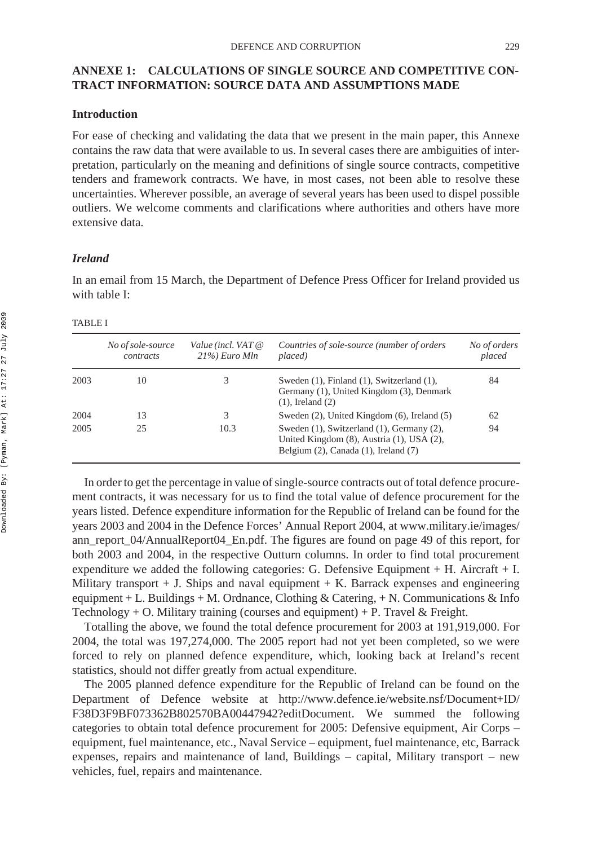# **ANNEXE 1: CALCULATIONS OF SINGLE SOURCE AND COMPETITIVE CON-TRACT INFORMATION: SOURCE DATA AND ASSUMPTIONS MADE**

#### **Introduction**

For ease of checking and validating the data that we present in the main paper, this Annexe contains the raw data that were available to us. In several cases there are ambiguities of interpretation, particularly on the meaning and definitions of single source contracts, competitive tenders and framework contracts. We have, in most cases, not been able to resolve these uncertainties. Wherever possible, an average of several years has been used to dispel possible outliers. We welcome comments and clarifications where authorities and others have more extensive data.

#### *Ireland*

In an email from 15 March, the Department of Defence Press Officer for Ireland provided us with table I:

|--|--|

|      | No of sole-source<br>contracts | Value (incl. VAT @<br>$21\%$ ) Euro Mln | Countries of sole-source (number of orders<br>placed)                                                                          | No of orders<br>placed |
|------|--------------------------------|-----------------------------------------|--------------------------------------------------------------------------------------------------------------------------------|------------------------|
| 2003 | 10                             | 3                                       | Sweden (1), Finland (1), Switzerland (1),<br>Germany (1), United Kingdom (3), Denmark<br>$(1)$ , Ireland $(2)$                 | 84                     |
| 2004 | 13                             | 3                                       | Sweden (2), United Kingdom (6), Ireland (5)                                                                                    | 62                     |
| 2005 | 25                             | 10.3                                    | Sweden (1), Switzerland (1), Germany (2),<br>United Kingdom (8), Austria (1), USA (2),<br>Belgium (2), Canada (1), Ireland (7) | 94                     |

In order to get the percentage in value of single-source contracts out of total defence procurement contracts, it was necessary for us to find the total value of defence procurement for the years listed. Defence expenditure information for the Republic of Ireland can be found for the years 2003 and 2004 in the Defence Forces' Annual Report 2004, at www.military.ie/images/ ann\_report\_04/AnnualReport04\_En.pdf. The figures are found on page 49 of this report, for both 2003 and 2004, in the respective Outturn columns. In order to find total procurement expenditure we added the following categories: G. Defensive Equipment + H. Aircraft + I. Military transport  $+$  J. Ships and naval equipment  $+$  K. Barrack expenses and engineering equipment + L. Buildings + M. Ordnance, Clothing & Catering, + N. Communications & Info Technology + O. Military training (courses and equipment) + P. Travel & Freight.

Totalling the above, we found the total defence procurement for 2003 at 191,919,000. For 2004, the total was 197,274,000. The 2005 report had not yet been completed, so we were forced to rely on planned defence expenditure, which, looking back at Ireland's recent statistics, should not differ greatly from actual expenditure.

The 2005 planned defence expenditure for the Republic of Ireland can be found on the Department of Defence website at http://www.defence.ie/website.nsf/Document+ID/ F38D3F9BF073362B802570BA00447942?editDocument. We summed the following categories to obtain total defence procurement for 2005: Defensive equipment, Air Corps – equipment, fuel maintenance, etc., Naval Service – equipment, fuel maintenance, etc, Barrack expenses, repairs and maintenance of land, Buildings – capital, Military transport – new vehicles, fuel, repairs and maintenance.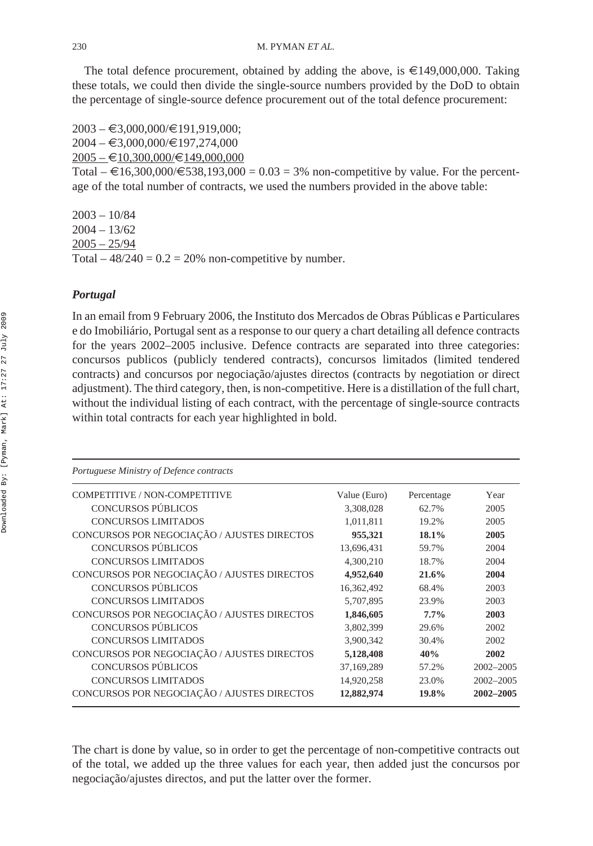The total defence procurement, obtained by adding the above, is  $\epsilon$ 149,000,000. Taking these totals, we could then divide the single-source numbers provided by the DoD to obtain the percentage of single-source defence procurement out of the total defence procurement:

2003 – €3,000,000/€191,919,000; 2004 – €3,000,000/€197,274,000

 $2005 - \text{£}10,300,000/\text{€}149,000,000$ 

Total – €16,300,000/€538,193,000 =  $0.03 = 3%$  non-competitive by value. For the percentage of the total number of contracts, we used the numbers provided in the above table:

2003 – 10/84 2004 – 13/62  $2005 - 25/94$ Total  $-48/240 = 0.2 = 20%$  non-competitive by number.

# *Portugal*

In an email from 9 February 2006, the Instituto dos Mercados de Obras Públicas e Particulares e do Imobiliário, Portugal sent as a response to our query a chart detailing all defence contracts for the years 2002–2005 inclusive. Defence contracts are separated into three categories: concursos publicos (publicly tendered contracts), concursos limitados (limited tendered contracts) and concursos por negociação/ajustes directos (contracts by negotiation or direct adjustment). The third category, then, is non-competitive. Here is a distillation of the full chart, without the individual listing of each contract, with the percentage of single-source contracts within total contracts for each year highlighted in bold.

| Portuguese Ministry of Defence contracts    |              |            |               |
|---------------------------------------------|--------------|------------|---------------|
| COMPETITIVE / NON-COMPETITIVE               | Value (Euro) | Percentage | Year          |
| CONCURSOS PÚBLICOS                          | 3,308,028    | 62.7%      | 2005          |
| <b>CONCURSOS LIMITADOS</b>                  | 1,011,811    | 19.2%      | 2005          |
| CONCURSOS POR NEGOCIAÇÃO / AJUSTES DIRECTOS | 955,321      | $18.1\%$   | 2005          |
| CONCURSOS PÚBLICOS                          | 13,696,431   | 59.7%      | 2004          |
| <b>CONCURSOS LIMITADOS</b>                  | 4,300,210    | 18.7%      | 2004          |
| CONCURSOS POR NEGOCIAÇÃO / AJUSTES DIRECTOS | 4,952,640    | 21.6%      | 2004          |
| CONCURSOS PÚBLICOS                          | 16,362,492   | 68.4%      | 2003          |
| <b>CONCURSOS LIMITADOS</b>                  | 5,707,895    | 23.9%      | 2003          |
| CONCURSOS POR NEGOCIAÇÃO / AJUSTES DIRECTOS | 1,846,605    | $7.7\%$    | 2003          |
| CONCURSOS PÚBLICOS                          | 3,802,399    | 29.6%      | 2002          |
| <b>CONCURSOS LIMITADOS</b>                  | 3,900,342    | 30.4%      | 2002          |
| CONCURSOS POR NEGOCIAÇÃO / AJUSTES DIRECTOS | 5,128,408    | 40%        | 2002          |
| <b>CONCURSOS PÚBLICOS</b>                   | 37,169,289   | 57.2%      | $2002 - 2005$ |
| <b>CONCURSOS LIMITADOS</b>                  | 14,920,258   | 23.0%      | 2002-2005     |
| CONCURSOS POR NEGOCIAÇÃO / AJUSTES DIRECTOS | 12,882,974   | 19.8%      | 2002-2005     |

The chart is done by value, so in order to get the percentage of non-competitive contracts out of the total, we added up the three values for each year, then added just the concursos por negociação/ajustes directos, and put the latter over the former.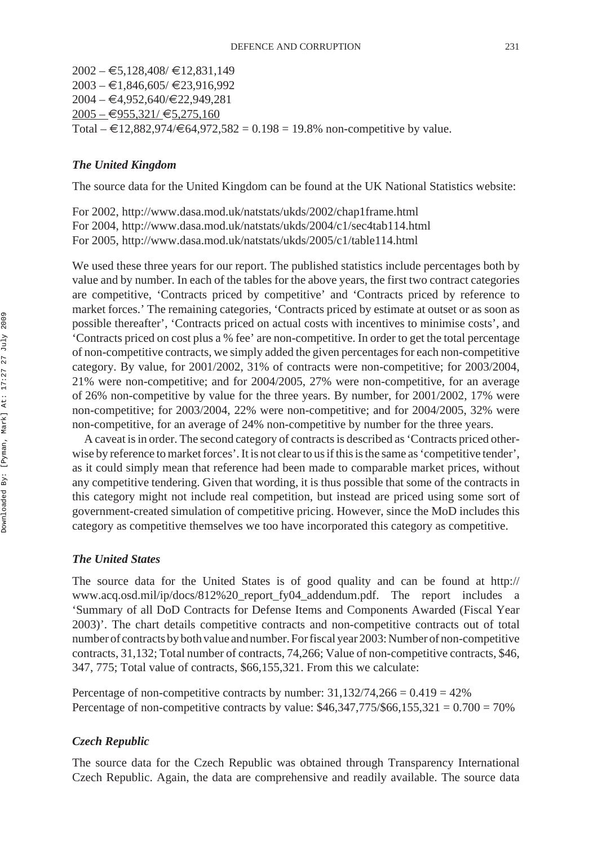2002 – €5,128,408/ €12,831,149 2003 – €1,846,605/ €23,916,992 2004 – €4,952,640/€22,949,281  $2005 - \text{ } \in \text{ } 955,321/\text{ } \in \text{ } 5,275,160$ Total – €12,882,974/€64,972,582 = 0.198 = 19.8% non-competitive by value.

#### *The United Kingdom*

The source data for the United Kingdom can be found at the UK National Statistics website:

For 2002, http://www.dasa.mod.uk/natstats/ukds/2002/chap1frame.html For 2004, http://www.dasa.mod.uk/natstats/ukds/2004/c1/sec4tab114.html For 2005, http://www.dasa.mod.uk/natstats/ukds/2005/c1/table114.html

We used these three years for our report. The published statistics include percentages both by value and by number. In each of the tables for the above years, the first two contract categories are competitive, 'Contracts priced by competitive' and 'Contracts priced by reference to market forces.' The remaining categories, 'Contracts priced by estimate at outset or as soon as possible thereafter', 'Contracts priced on actual costs with incentives to minimise costs', and 'Contracts priced on cost plus a % fee' are non-competitive. In order to get the total percentage of non-competitive contracts, we simply added the given percentages for each non-competitive category. By value, for 2001/2002, 31% of contracts were non-competitive; for 2003/2004, 21% were non-competitive; and for 2004/2005, 27% were non-competitive, for an average of 26% non-competitive by value for the three years. By number, for 2001/2002, 17% were non-competitive; for 2003/2004, 22% were non-competitive; and for 2004/2005, 32% were non-competitive, for an average of 24% non-competitive by number for the three years.

A caveat is in order. The second category of contracts is described as 'Contracts priced otherwise by reference to market forces'. It is not clear to us if this is the same as 'competitive tender', as it could simply mean that reference had been made to comparable market prices, without any competitive tendering. Given that wording, it is thus possible that some of the contracts in this category might not include real competition, but instead are priced using some sort of government-created simulation of competitive pricing. However, since the MoD includes this category as competitive themselves we too have incorporated this category as competitive.

#### *The United States*

The source data for the United States is of good quality and can be found at http:// www.acq.osd.mil/ip/docs/812%20\_report\_fy04\_addendum.pdf. The report includes a 'Summary of all DoD Contracts for Defense Items and Components Awarded (Fiscal Year 2003)'. The chart details competitive contracts and non-competitive contracts out of total number of contracts by both value and number. For fiscal year 2003: Number of non-competitive contracts, 31,132; Total number of contracts, 74,266; Value of non-competitive contracts, \$46, 347, 775; Total value of contracts, \$66,155,321. From this we calculate:

Percentage of non-competitive contracts by number:  $31,132/74,266 = 0.419 = 42\%$ Percentage of non-competitive contracts by value:  $$46,347,775/$66,155,321 = 0.700 = 70\%$ 

#### *Czech Republic*

The source data for the Czech Republic was obtained through Transparency International Czech Republic. Again, the data are comprehensive and readily available. The source data